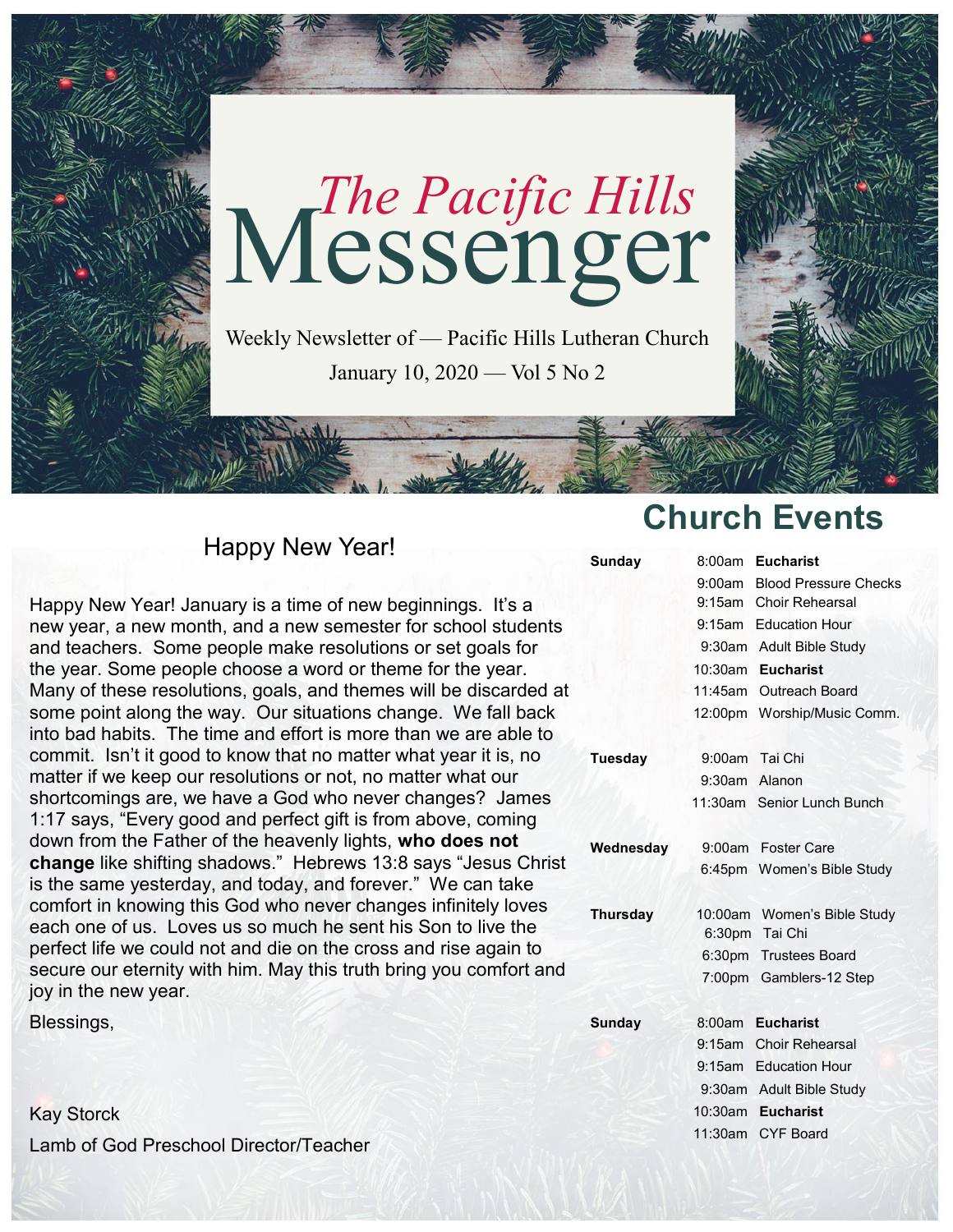

Weekly Newsletter of — Pacific Hills Lutheran Church January 10, 2020 — Vol 5 No 2

## Happy New Year!

Happy New Year! January is a time of new beginnings. It's a new year, a new month, and a new semester for school students and teachers. Some people make resolutions or set goals for the year. Some people choose a word or theme for the year. Many of these resolutions, goals, and themes will be discarded at some point along the way. Our situations change. We fall back into bad habits. The time and effort is more than we are able to commit. Isn't it good to know that no matter what year it is, no matter if we keep our resolutions or not, no matter what our shortcomings are, we have a God who never changes? James 1:17 says, "Every good and perfect gift is from above, coming down from the Father of the heavenly lights, **who does not change** like shifting shadows." Hebrews 13:8 says "Jesus Christ is the same yesterday, and today, and forever." We can take comfort in knowing this God who never changes infinitely loves each one of us. Loves us so much he sent his Son to live the perfect life we could not and die on the cross and rise again to secure our eternity with him. May this truth bring you comfort and joy in the new year.

Blessings,

Kay Storck Lamb of God Preschool Director/Teacher

# **Church Events**

| Sunday        | 8:00am        | <b>Eucharist</b>             |
|---------------|---------------|------------------------------|
|               |               | 9:00am Blood Pressure Checks |
|               |               | 9:15am Choir Rehearsal       |
|               |               | 9:15am Education Hour        |
|               |               | 9:30am Adult Bible Study     |
|               | 10:30am       | <b>Eucharist</b>             |
|               |               | 11:45am Outreach Board       |
|               |               | 12:00pm Worship/Music Comm.  |
|               |               |                              |
| Tuesday       |               | 9:00am Tai Chi               |
|               | 9:30am Alanon |                              |
|               |               | 11:30am Senior Lunch Bunch   |
|               |               |                              |
| Wednesday     |               | 9:00am Foster Care           |
|               |               | 6:45pm Women's Bible Study   |
|               |               |                              |
| Thursday      |               | 10:00am Women's Bible Study  |
|               |               | 6:30pm Tai Chi               |
|               |               | 6:30pm Trustees Board        |
|               |               | 7:00pm Gamblers-12 Step      |
|               |               |                              |
| <b>Sunday</b> |               | 8:00am Eucharist             |
|               |               | 9:15am Choir Rehearsal       |
|               |               | 9:15am Education Hour        |
|               |               | 9:30am Adult Bible Study     |
|               |               | 10:30am Eucharist            |
|               |               | 11:30am CYF Board            |
|               |               |                              |